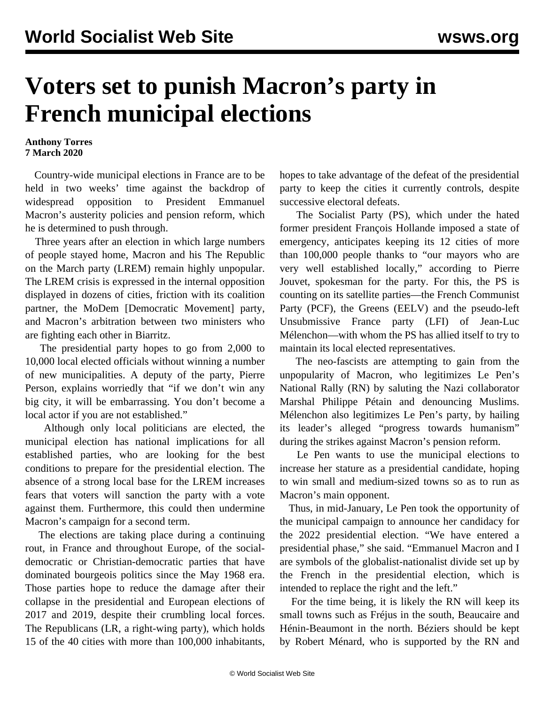## **Voters set to punish Macron's party in French municipal elections**

## **Anthony Torres 7 March 2020**

 Country-wide municipal elections in France are to be held in two weeks' time against the backdrop of widespread opposition to President Emmanuel Macron's austerity policies and pension reform, which he is determined to push through.

 Three years after an election in which large numbers of people stayed home, Macron and his The Republic on the March party (LREM) remain highly unpopular. The LREM crisis is expressed in the internal opposition displayed in dozens of cities, friction with its coalition partner, the MoDem [Democratic Movement] party, and Macron's arbitration between two ministers who are fighting each other in Biarritz.

 The presidential party hopes to go from 2,000 to 10,000 local elected officials without winning a number of new municipalities. A deputy of the party, Pierre Person, explains worriedly that "if we don't win any big city, it will be embarrassing. You don't become a local actor if you are not established."

 Although only local politicians are elected, the municipal election has national implications for all established parties, who are looking for the best conditions to prepare for the presidential election. The absence of a strong local base for the LREM increases fears that voters will sanction the party with a vote against them. Furthermore, this could then undermine Macron's campaign for a second term.

 The elections are taking place during a continuing rout, in France and throughout Europe, of the socialdemocratic or Christian-democratic parties that have dominated bourgeois politics since the May 1968 era. Those parties hope to reduce the damage after their collapse in the presidential and European elections of 2017 and 2019, despite their crumbling local forces. The Republicans (LR, a right-wing party), which holds 15 of the 40 cities with more than 100,000 inhabitants,

hopes to take advantage of the defeat of the presidential party to keep the cities it currently controls, despite successive electoral defeats.

 The Socialist Party (PS), which under the hated former president François Hollande imposed a state of emergency, anticipates keeping its 12 cities of more than 100,000 people thanks to "our mayors who are very well established locally," according to Pierre Jouvet, spokesman for the party. For this, the PS is counting on its satellite parties—the French Communist Party (PCF), the Greens (EELV) and the pseudo-left Unsubmissive France party (LFI) of Jean-Luc Mélenchon—with whom the PS has allied itself to try to maintain its local elected representatives.

 The neo-fascists are attempting to gain from the unpopularity of Macron, who legitimizes Le Pen's National Rally (RN) by saluting the Nazi collaborator Marshal Philippe Pétain and denouncing Muslims. Mélenchon also legitimizes Le Pen's party, by hailing its leader's alleged "progress towards humanism" during the strikes against Macron's pension reform.

 Le Pen wants to use the municipal elections to increase her stature as a presidential candidate, hoping to win small and medium-sized towns so as to run as Macron's main opponent.

 Thus, in mid-January, Le Pen took the opportunity of the municipal campaign to announce her candidacy for the 2022 presidential election. "We have entered a presidential phase," she said. "Emmanuel Macron and I are symbols of the globalist-nationalist divide set up by the French in the presidential election, which is intended to replace the right and the left."

 For the time being, it is likely the RN will keep its small towns such as Fréjus in the south, Beaucaire and Hénin-Beaumont in the north. Béziers should be kept by Robert Ménard, who is supported by the RN and